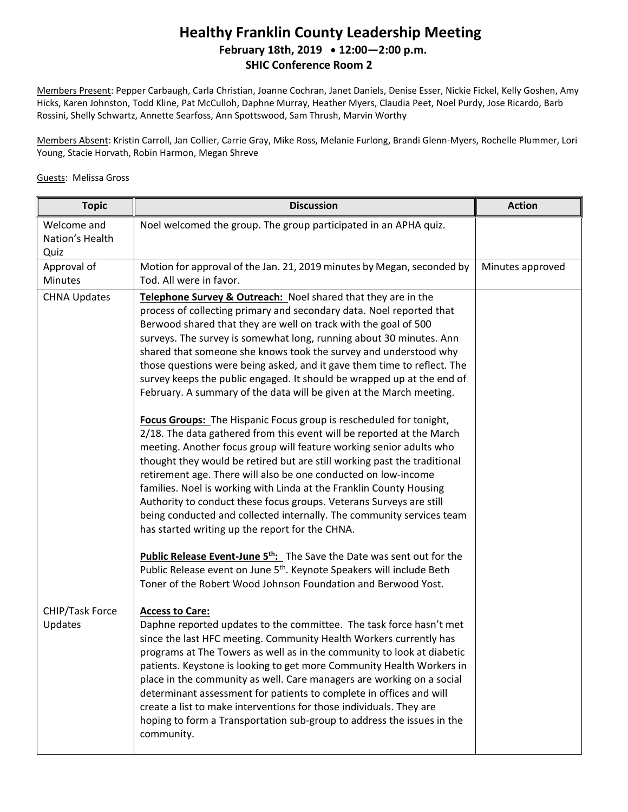## **Healthy Franklin County Leadership Meeting February 18th, 2019 12:00—2:00 p.m. SHIC Conference Room 2**

Members Present: Pepper Carbaugh, Carla Christian, Joanne Cochran, Janet Daniels, Denise Esser, Nickie Fickel, Kelly Goshen, Amy Hicks, Karen Johnston, Todd Kline, Pat McCulloh, Daphne Murray, Heather Myers, Claudia Peet, Noel Purdy, Jose Ricardo, Barb Rossini, Shelly Schwartz, Annette Searfoss, Ann Spottswood, Sam Thrush, Marvin Worthy

Members Absent: Kristin Carroll, Jan Collier, Carrie Gray, Mike Ross, Melanie Furlong, Brandi Glenn-Myers, Rochelle Plummer, Lori Young, Stacie Horvath, Robin Harmon, Megan Shreve

## Guests: Melissa Gross

| <b>Topic</b>                           | <b>Discussion</b>                                                                                                                                                                                                                                                                                                                                                                                                                                                                                                                                                                                                                                                                                                                                                                                                                                                                                                                                                                                                                                                                                                                                                                                                                                                                                                                                                                                             | <b>Action</b>    |
|----------------------------------------|---------------------------------------------------------------------------------------------------------------------------------------------------------------------------------------------------------------------------------------------------------------------------------------------------------------------------------------------------------------------------------------------------------------------------------------------------------------------------------------------------------------------------------------------------------------------------------------------------------------------------------------------------------------------------------------------------------------------------------------------------------------------------------------------------------------------------------------------------------------------------------------------------------------------------------------------------------------------------------------------------------------------------------------------------------------------------------------------------------------------------------------------------------------------------------------------------------------------------------------------------------------------------------------------------------------------------------------------------------------------------------------------------------------|------------------|
| Welcome and<br>Nation's Health<br>Quiz | Noel welcomed the group. The group participated in an APHA quiz.                                                                                                                                                                                                                                                                                                                                                                                                                                                                                                                                                                                                                                                                                                                                                                                                                                                                                                                                                                                                                                                                                                                                                                                                                                                                                                                                              |                  |
| Approval of<br><b>Minutes</b>          | Motion for approval of the Jan. 21, 2019 minutes by Megan, seconded by<br>Tod. All were in favor.                                                                                                                                                                                                                                                                                                                                                                                                                                                                                                                                                                                                                                                                                                                                                                                                                                                                                                                                                                                                                                                                                                                                                                                                                                                                                                             | Minutes approved |
| <b>CHNA Updates</b>                    | Telephone Survey & Outreach: Noel shared that they are in the<br>process of collecting primary and secondary data. Noel reported that<br>Berwood shared that they are well on track with the goal of 500<br>surveys. The survey is somewhat long, running about 30 minutes. Ann<br>shared that someone she knows took the survey and understood why<br>those questions were being asked, and it gave them time to reflect. The<br>survey keeps the public engaged. It should be wrapped up at the end of<br>February. A summary of the data will be given at the March meeting.<br>Focus Groups: The Hispanic Focus group is rescheduled for tonight,<br>2/18. The data gathered from this event will be reported at the March<br>meeting. Another focus group will feature working senior adults who<br>thought they would be retired but are still working past the traditional<br>retirement age. There will also be one conducted on low-income<br>families. Noel is working with Linda at the Franklin County Housing<br>Authority to conduct these focus groups. Veterans Surveys are still<br>being conducted and collected internally. The community services team<br>has started writing up the report for the CHNA.<br><b>Public Release Event-June 5<sup>th</sup>:</b> The Save the Date was sent out for the<br>Public Release event on June 5 <sup>th</sup> . Keynote Speakers will include Beth |                  |
| CHIP/Task Force<br>Updates             | Toner of the Robert Wood Johnson Foundation and Berwood Yost.<br><b>Access to Care:</b><br>Daphne reported updates to the committee. The task force hasn't met<br>since the last HFC meeting. Community Health Workers currently has<br>programs at The Towers as well as in the community to look at diabetic<br>patients. Keystone is looking to get more Community Health Workers in<br>place in the community as well. Care managers are working on a social<br>determinant assessment for patients to complete in offices and will<br>create a list to make interventions for those individuals. They are<br>hoping to form a Transportation sub-group to address the issues in the<br>community.                                                                                                                                                                                                                                                                                                                                                                                                                                                                                                                                                                                                                                                                                                        |                  |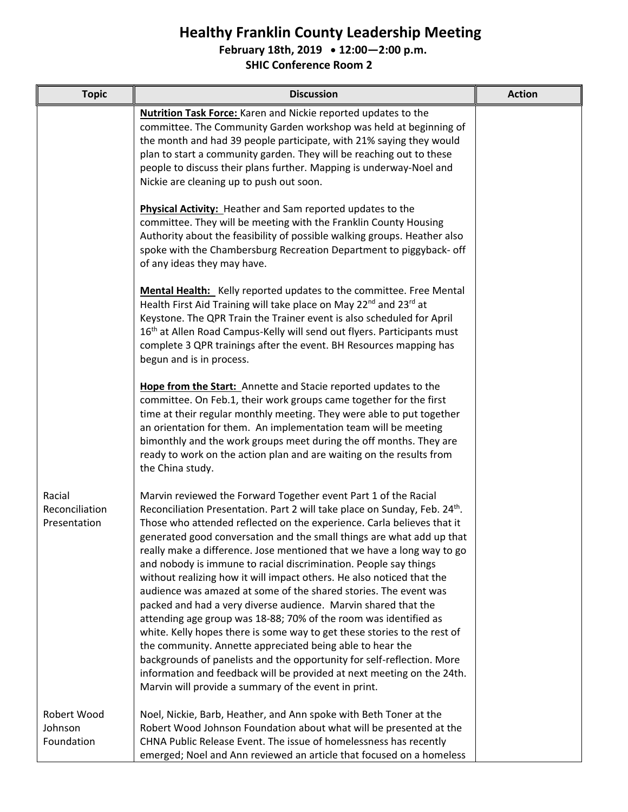## **Healthy Franklin County Leadership Meeting**

**February 18th, 2019 12:00—2:00 p.m.**

**SHIC Conference Room 2**

| <b>Topic</b>                             | <b>Discussion</b>                                                                                                                                                                                                                                                                                                                                                                                                                                                                                                                                                                                                                                                                                                                                                                                                                                                                                                                                                                                                                                                                     | <b>Action</b> |
|------------------------------------------|---------------------------------------------------------------------------------------------------------------------------------------------------------------------------------------------------------------------------------------------------------------------------------------------------------------------------------------------------------------------------------------------------------------------------------------------------------------------------------------------------------------------------------------------------------------------------------------------------------------------------------------------------------------------------------------------------------------------------------------------------------------------------------------------------------------------------------------------------------------------------------------------------------------------------------------------------------------------------------------------------------------------------------------------------------------------------------------|---------------|
|                                          | <b>Nutrition Task Force:</b> Karen and Nickie reported updates to the<br>committee. The Community Garden workshop was held at beginning of<br>the month and had 39 people participate, with 21% saying they would<br>plan to start a community garden. They will be reaching out to these<br>people to discuss their plans further. Mapping is underway-Noel and<br>Nickie are cleaning up to push out soon.                                                                                                                                                                                                                                                                                                                                                                                                                                                                                                                                                                                                                                                                          |               |
|                                          | <b>Physical Activity:</b> Heather and Sam reported updates to the<br>committee. They will be meeting with the Franklin County Housing<br>Authority about the feasibility of possible walking groups. Heather also<br>spoke with the Chambersburg Recreation Department to piggyback- off<br>of any ideas they may have.                                                                                                                                                                                                                                                                                                                                                                                                                                                                                                                                                                                                                                                                                                                                                               |               |
|                                          | Mental Health: Kelly reported updates to the committee. Free Mental<br>Health First Aid Training will take place on May 22 <sup>nd</sup> and 23 <sup>rd</sup> at<br>Keystone. The QPR Train the Trainer event is also scheduled for April<br>16 <sup>th</sup> at Allen Road Campus-Kelly will send out flyers. Participants must<br>complete 3 QPR trainings after the event. BH Resources mapping has<br>begun and is in process.                                                                                                                                                                                                                                                                                                                                                                                                                                                                                                                                                                                                                                                    |               |
|                                          | Hope from the Start: Annette and Stacie reported updates to the<br>committee. On Feb.1, their work groups came together for the first<br>time at their regular monthly meeting. They were able to put together<br>an orientation for them. An implementation team will be meeting<br>bimonthly and the work groups meet during the off months. They are<br>ready to work on the action plan and are waiting on the results from<br>the China study.                                                                                                                                                                                                                                                                                                                                                                                                                                                                                                                                                                                                                                   |               |
| Racial<br>Reconciliation<br>Presentation | Marvin reviewed the Forward Together event Part 1 of the Racial<br>Reconciliation Presentation. Part 2 will take place on Sunday, Feb. 24th.<br>Those who attended reflected on the experience. Carla believes that it<br>generated good conversation and the small things are what add up that<br>really make a difference. Jose mentioned that we have a long way to go<br>and nobody is immune to racial discrimination. People say things<br>without realizing how it will impact others. He also noticed that the<br>audience was amazed at some of the shared stories. The event was<br>packed and had a very diverse audience. Marvin shared that the<br>attending age group was 18-88; 70% of the room was identified as<br>white. Kelly hopes there is some way to get these stories to the rest of<br>the community. Annette appreciated being able to hear the<br>backgrounds of panelists and the opportunity for self-reflection. More<br>information and feedback will be provided at next meeting on the 24th.<br>Marvin will provide a summary of the event in print. |               |
| Robert Wood<br>Johnson<br>Foundation     | Noel, Nickie, Barb, Heather, and Ann spoke with Beth Toner at the<br>Robert Wood Johnson Foundation about what will be presented at the<br>CHNA Public Release Event. The issue of homelessness has recently<br>emerged; Noel and Ann reviewed an article that focused on a homeless                                                                                                                                                                                                                                                                                                                                                                                                                                                                                                                                                                                                                                                                                                                                                                                                  |               |